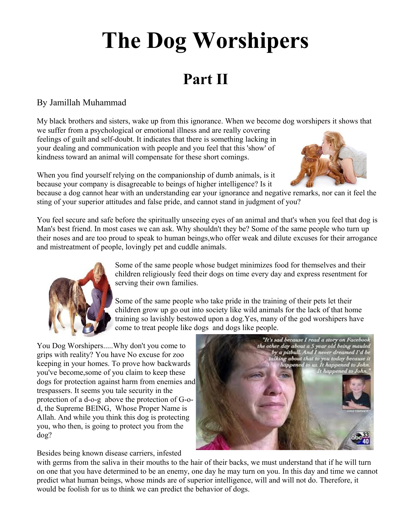## **The Dog Worshipers**

## **Part II**

## By Jamillah Muhammad

My black brothers and sisters, wake up from this ignorance. When we become dog worshipers it shows that we suffer from a psychological or emotional illness and are really covering feelings of guilt and self-doubt. It indicates that there is something lacking in your dealing and communication with people and you feel that this 'show' of kindness toward an animal will compensate for these short comings.

When you find yourself relying on the companionship of dumb animals, is it because your company is disagreeable to beings of higher intelligence? Is it



because a dog cannot hear with an understanding ear your ignorance and negative remarks, nor can it feel the sting of your superior attitudes and false pride, and cannot stand in judgment of you?

You feel secure and safe before the spiritually unseeing eyes of an animal and that's when you feel that dog is Man's best friend. In most cases we can ask. Why shouldn't they be? Some of the same people who turn up their noses and are too proud to speak to human beings,who offer weak and dilute excuses for their arrogance and mistreatment of people, lovingly pet and cuddle animals.



Some of the same people whose budget minimizes food for themselves and their children religiously feed their dogs on time every day and express resentment for serving their own families.

Some of the same people who take pride in the training of their pets let their children grow up go out into society like wild animals for the lack of that home training so lavishly bestowed upon a dog.Yes, many of the god worshipers have come to treat people like dogs and dogs like people.

You Dog Worshipers.....Why don't you come to grips with reality? You have No excuse for zoo keeping in your homes. To prove how backwards you've become,some of you claim to keep these dogs for protection against harm from enemies and trespassers. It seems you tale security in the protection of a d-o-g above the protection of G-od, the Supreme BEING, Whose Proper Name is Allah. And while you think this dog is protecting you, who then, is going to protect you from the dog?



Besides being known disease carriers, infested

with germs from the saliva in their mouths to the hair of their backs, we must understand that if he will turn on one that you have determined to be an enemy, one day he may turn on you. In this day and time we cannot predict what human beings, whose minds are of superior intelligence, will and will not do. Therefore, it would be foolish for us to think we can predict the behavior of dogs.